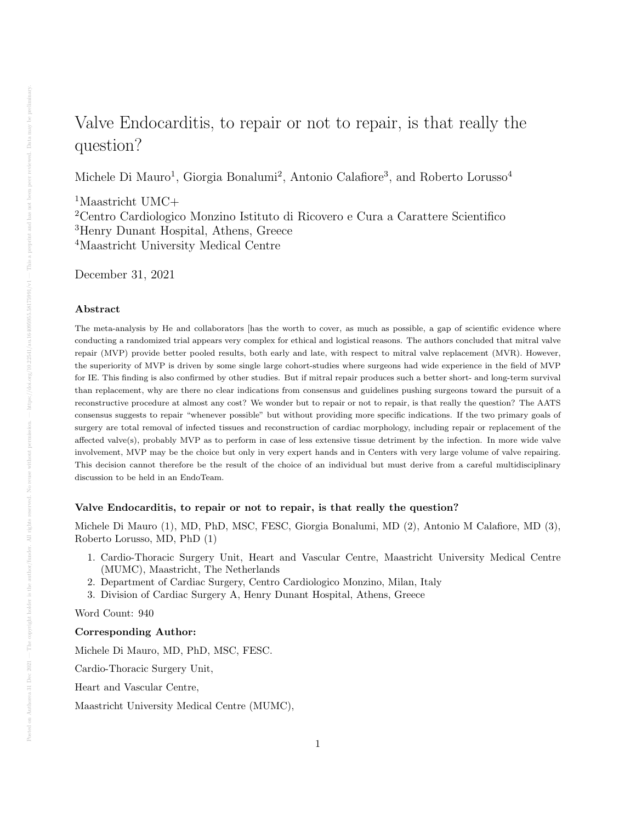# Valve Endocarditis, to repair or not to repair, is that really the question?

Michele Di Mauro<sup>1</sup>, Giorgia Bonalumi<sup>2</sup>, Antonio Calafiore<sup>3</sup>, and Roberto Lorusso<sup>4</sup>

Maastricht UMC+ Centro Cardiologico Monzino Istituto di Ricovero e Cura a Carattere Scientifico Henry Dunant Hospital, Athens, Greece Maastricht University Medical Centre

December 31, 2021

## Abstract

The meta-analysis by He and collaborators [has the worth to cover, as much as possible, a gap of scientific evidence where conducting a randomized trial appears very complex for ethical and logistical reasons. The authors concluded that mitral valve repair (MVP) provide better pooled results, both early and late, with respect to mitral valve replacement (MVR). However, the superiority of MVP is driven by some single large cohort-studies where surgeons had wide experience in the field of MVP for IE. This finding is also confirmed by other studies. But if mitral repair produces such a better short- and long-term survival than replacement, why are there no clear indications from consensus and guidelines pushing surgeons toward the pursuit of a reconstructive procedure at almost any cost? We wonder but to repair or not to repair, is that really the question? The AATS consensus suggests to repair "whenever possible" but without providing more specific indications. If the two primary goals of surgery are total removal of infected tissues and reconstruction of cardiac morphology, including repair or replacement of the affected valve(s), probably MVP as to perform in case of less extensive tissue detriment by the infection. In more wide valve involvement, MVP may be the choice but only in very expert hands and in Centers with very large volume of valve repairing. This decision cannot therefore be the result of the choice of an individual but must derive from a careful multidisciplinary discussion to be held in an EndoTeam.

# Valve Endocarditis, to repair or not to repair, is that really the question?

Michele Di Mauro (1), MD, PhD, MSC, FESC, Giorgia Bonalumi, MD (2), Antonio M Calafiore, MD (3), Roberto Lorusso, MD, PhD (1)

- 1. Cardio-Thoracic Surgery Unit, Heart and Vascular Centre, Maastricht University Medical Centre (MUMC), Maastricht, The Netherlands
- 2. Department of Cardiac Surgery, Centro Cardiologico Monzino, Milan, Italy
- 3. Division of Cardiac Surgery A, Henry Dunant Hospital, Athens, Greece

Word Count: 940

#### Corresponding Author:

Michele Di Mauro, MD, PhD, MSC, FESC.

Cardio-Thoracic Surgery Unit,

Heart and Vascular Centre,

Maastricht University Medical Centre (MUMC),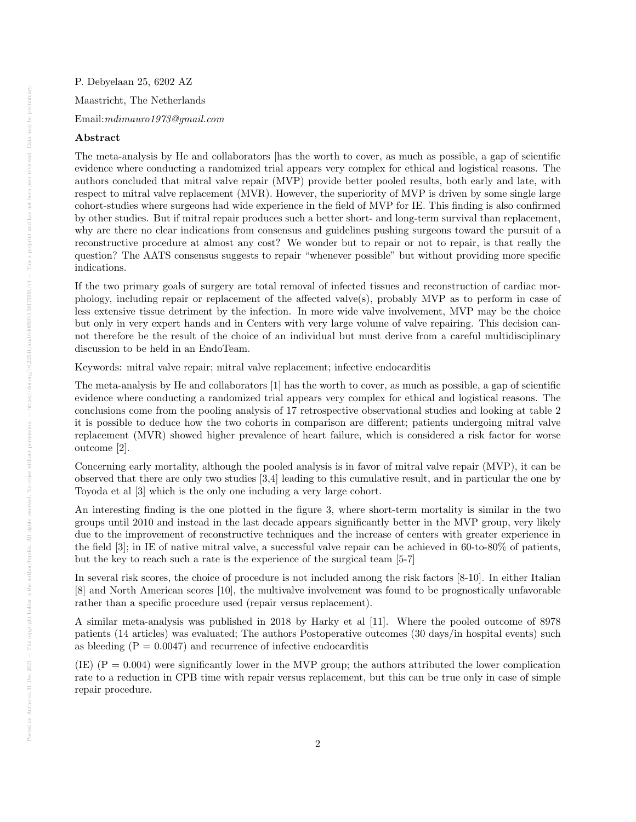P. Debyelaan 25, 6202 AZ Maastricht, The Netherlands Email:mdimauro1973@gmail.com

## Abstract

The meta-analysis by He and collaborators [has the worth to cover, as much as possible, a gap of scientific evidence where conducting a randomized trial appears very complex for ethical and logistical reasons. The authors concluded that mitral valve repair (MVP) provide better pooled results, both early and late, with respect to mitral valve replacement (MVR). However, the superiority of MVP is driven by some single large cohort-studies where surgeons had wide experience in the field of MVP for IE. This finding is also confirmed by other studies. But if mitral repair produces such a better short- and long-term survival than replacement, why are there no clear indications from consensus and guidelines pushing surgeons toward the pursuit of a reconstructive procedure at almost any cost? We wonder but to repair or not to repair, is that really the question? The AATS consensus suggests to repair "whenever possible" but without providing more specific indications.

If the two primary goals of surgery are total removal of infected tissues and reconstruction of cardiac morphology, including repair or replacement of the affected valve(s), probably MVP as to perform in case of less extensive tissue detriment by the infection. In more wide valve involvement, MVP may be the choice but only in very expert hands and in Centers with very large volume of valve repairing. This decision cannot therefore be the result of the choice of an individual but must derive from a careful multidisciplinary discussion to be held in an EndoTeam.

Keywords: mitral valve repair; mitral valve replacement; infective endocarditis

The meta-analysis by He and collaborators [1] has the worth to cover, as much as possible, a gap of scientific evidence where conducting a randomized trial appears very complex for ethical and logistical reasons. The conclusions come from the pooling analysis of 17 retrospective observational studies and looking at table 2 it is possible to deduce how the two cohorts in comparison are different; patients undergoing mitral valve replacement (MVR) showed higher prevalence of heart failure, which is considered a risk factor for worse outcome [2].

Concerning early mortality, although the pooled analysis is in favor of mitral valve repair (MVP), it can be observed that there are only two studies [3,4] leading to this cumulative result, and in particular the one by Toyoda et al [3] which is the only one including a very large cohort.

An interesting finding is the one plotted in the figure 3, where short-term mortality is similar in the two groups until 2010 and instead in the last decade appears significantly better in the MVP group, very likely due to the improvement of reconstructive techniques and the increase of centers with greater experience in the field [3]; in IE of native mitral valve, a successful valve repair can be achieved in 60-to-80% of patients, but the key to reach such a rate is the experience of the surgical team [5-7]

In several risk scores, the choice of procedure is not included among the risk factors [8-10]. In either Italian [8] and North American scores [10], the multivalve involvement was found to be prognostically unfavorable rather than a specific procedure used (repair versus replacement).

A similar meta-analysis was published in 2018 by Harky et al [11]. Where the pooled outcome of 8978 patients (14 articles) was evaluated; The authors Postoperative outcomes (30 days/in hospital events) such as bleeding  $(P = 0.0047)$  and recurrence of infective endocarditis

(IE)  $(P = 0.004)$  were significantly lower in the MVP group; the authors attributed the lower complication rate to a reduction in CPB time with repair versus replacement, but this can be true only in case of simple repair procedure.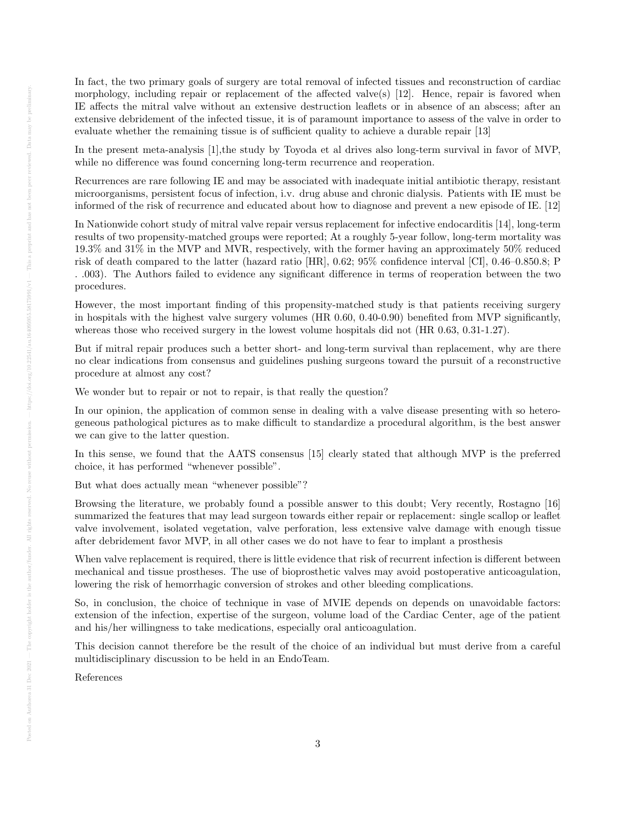In fact, the two primary goals of surgery are total removal of infected tissues and reconstruction of cardiac morphology, including repair or replacement of the affected valve(s)  $[12]$ . Hence, repair is favored when IE affects the mitral valve without an extensive destruction leaflets or in absence of an abscess; after an extensive debridement of the infected tissue, it is of paramount importance to assess of the valve in order to evaluate whether the remaining tissue is of sufficient quality to achieve a durable repair [13]

In the present meta-analysis [1], the study by Toyoda et al drives also long-term survival in favor of MVP, while no difference was found concerning long-term recurrence and reoperation.

Recurrences are rare following IE and may be associated with inadequate initial antibiotic therapy, resistant microorganisms, persistent focus of infection, i.v. drug abuse and chronic dialysis. Patients with IE must be informed of the risk of recurrence and educated about how to diagnose and prevent a new episode of IE. [12]

In Nationwide cohort study of mitral valve repair versus replacement for infective endocarditis [14], long-term results of two propensity-matched groups were reported; At a roughly 5-year follow, long-term mortality was 19.3% and 31% in the MVP and MVR, respectively, with the former having an approximately 50% reduced risk of death compared to the latter (hazard ratio [HR], 0.62; 95% confidence interval [CI], 0.46–0.850.8; P . .003). The Authors failed to evidence any significant difference in terms of reoperation between the two procedures.

However, the most important finding of this propensity-matched study is that patients receiving surgery in hospitals with the highest valve surgery volumes (HR 0.60, 0.40-0.90) benefited from MVP significantly, whereas those who received surgery in the lowest volume hospitals did not (HR 0.63, 0.31-1.27).

But if mitral repair produces such a better short- and long-term survival than replacement, why are there no clear indications from consensus and guidelines pushing surgeons toward the pursuit of a reconstructive procedure at almost any cost?

We wonder but to repair or not to repair, is that really the question?

In our opinion, the application of common sense in dealing with a valve disease presenting with so heterogeneous pathological pictures as to make difficult to standardize a procedural algorithm, is the best answer we can give to the latter question.

In this sense, we found that the AATS consensus [15] clearly stated that although MVP is the preferred choice, it has performed "whenever possible".

But what does actually mean "whenever possible"?

Browsing the literature, we probably found a possible answer to this doubt; Very recently, Rostagno [16] summarized the features that may lead surgeon towards either repair or replacement: single scallop or leaflet valve involvement, isolated vegetation, valve perforation, less extensive valve damage with enough tissue after debridement favor MVP, in all other cases we do not have to fear to implant a prosthesis

When valve replacement is required, there is little evidence that risk of recurrent infection is different between mechanical and tissue prostheses. The use of bioprosthetic valves may avoid postoperative anticoagulation, lowering the risk of hemorrhagic conversion of strokes and other bleeding complications.

So, in conclusion, the choice of technique in vase of MVIE depends on depends on unavoidable factors: extension of the infection, expertise of the surgeon, volume load of the Cardiac Center, age of the patient and his/her willingness to take medications, especially oral anticoagulation.

This decision cannot therefore be the result of the choice of an individual but must derive from a careful multidisciplinary discussion to be held in an EndoTeam.

References